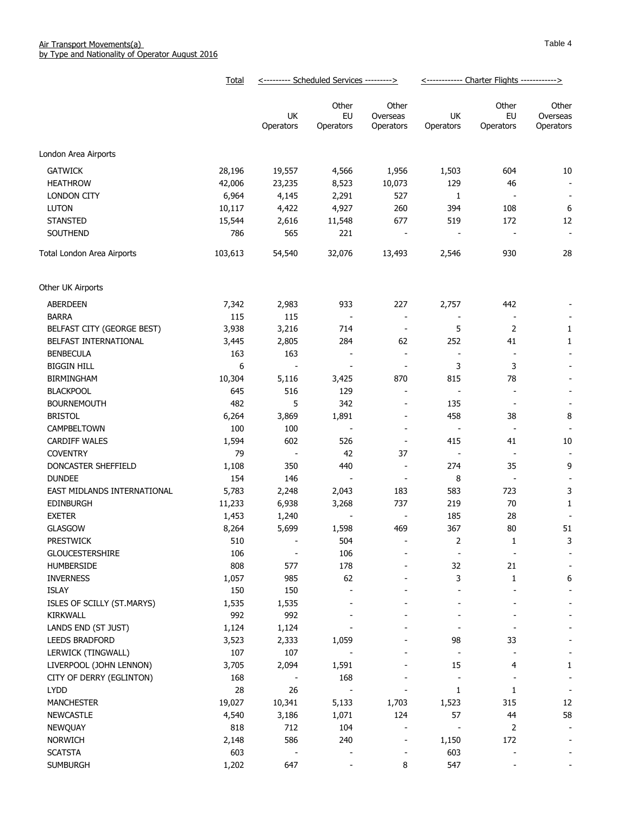|                             | Total   | <--------- Scheduled Services ---------> |                          |                                | <------------ Charter Flights ------------> |                          |                                |
|-----------------------------|---------|------------------------------------------|--------------------------|--------------------------------|---------------------------------------------|--------------------------|--------------------------------|
|                             |         | UK<br>Operators                          | Other<br>EU<br>Operators | Other<br>Overseas<br>Operators | UK<br>Operators                             | Other<br>EU<br>Operators | Other<br>Overseas<br>Operators |
| London Area Airports        |         |                                          |                          |                                |                                             |                          |                                |
| <b>GATWICK</b>              | 28,196  | 19,557                                   | 4,566                    | 1,956                          | 1,503                                       | 604                      | 10                             |
| <b>HEATHROW</b>             | 42,006  | 23,235                                   | 8,523                    | 10,073                         | 129                                         | 46                       | $\overline{\phantom{a}}$       |
| LONDON CITY                 | 6,964   | 4,145                                    | 2,291                    | 527                            | 1                                           |                          | $\overline{\phantom{a}}$       |
| <b>LUTON</b>                | 10,117  | 4,422                                    | 4,927                    | 260                            | 394                                         | 108                      | $\boldsymbol{6}$               |
| <b>STANSTED</b>             | 15,544  | 2,616                                    | 11,548                   | 677                            | 519                                         | 172                      | 12                             |
| SOUTHEND                    | 786     | 565                                      | 221                      | $\overline{\phantom{a}}$       | $\overline{a}$                              | $\overline{\phantom{a}}$ | $\blacksquare$                 |
| Total London Area Airports  | 103,613 | 54,540                                   | 32,076                   | 13,493                         | 2,546                                       | 930                      | 28                             |
| Other UK Airports           |         |                                          |                          |                                |                                             |                          |                                |
| ABERDEEN                    | 7,342   | 2,983                                    | 933                      | 227                            | 2,757                                       | 442                      |                                |
| <b>BARRA</b>                | 115     | 115                                      | $\overline{\phantom{a}}$ | $\overline{\phantom{a}}$       | $\overline{\phantom{a}}$                    |                          |                                |
| BELFAST CITY (GEORGE BEST)  | 3,938   | 3,216                                    | 714                      | $\overline{\phantom{a}}$       | 5                                           | 2                        | 1                              |
| BELFAST INTERNATIONAL       | 3,445   | 2,805                                    | 284                      | 62                             | 252                                         | 41                       | 1                              |
| <b>BENBECULA</b>            | 163     | 163                                      | $\overline{\phantom{a}}$ | $\overline{\phantom{a}}$       | $\overline{\phantom{a}}$                    | $\overline{\phantom{a}}$ | $\overline{\phantom{a}}$       |
| <b>BIGGIN HILL</b>          | 6       | $\overline{\phantom{a}}$                 | $\overline{\phantom{a}}$ | $\overline{\phantom{a}}$       | 3                                           | 3                        |                                |
| <b>BIRMINGHAM</b>           | 10,304  | 5,116                                    | 3,425                    | 870                            | 815                                         | 78                       |                                |
| <b>BLACKPOOL</b>            | 645     | 516                                      | 129                      | $\overline{\phantom{a}}$       | $\overline{\phantom{a}}$                    | $\overline{\phantom{a}}$ |                                |
| <b>BOURNEMOUTH</b>          | 482     | 5                                        | 342                      | $\overline{\phantom{a}}$       | 135                                         | $\overline{\phantom{a}}$ | $\overline{\phantom{a}}$       |
| <b>BRISTOL</b>              | 6,264   | 3,869                                    | 1,891                    | $\overline{\phantom{a}}$       | 458                                         | 38                       | 8                              |
| CAMPBELTOWN                 | 100     | 100                                      | $\overline{\phantom{a}}$ | $\overline{\phantom{a}}$       | $\blacksquare$                              | $\overline{\phantom{a}}$ |                                |
| <b>CARDIFF WALES</b>        | 1,594   | 602                                      | 526                      | $\overline{\phantom{a}}$       | 415                                         | 41                       | 10                             |
| <b>COVENTRY</b>             | 79      |                                          | 42                       | 37                             | $\overline{\phantom{a}}$                    | $\overline{\phantom{a}}$ | $\overline{\phantom{a}}$       |
| DONCASTER SHEFFIELD         | 1,108   | 350                                      | 440                      | $\blacksquare$                 | 274                                         | 35                       | 9                              |
| <b>DUNDEE</b>               | 154     | 146                                      | $\overline{\phantom{a}}$ | $\overline{\phantom{a}}$       | 8                                           |                          |                                |
| EAST MIDLANDS INTERNATIONAL | 5,783   | 2,248                                    | 2,043                    | 183                            | 583                                         | 723                      | 3                              |
| <b>EDINBURGH</b>            | 11,233  | 6,938                                    | 3,268                    | 737                            | 219                                         | 70                       | 1                              |
| <b>EXETER</b>               | 1,453   | 1,240                                    |                          |                                | 185                                         | 28                       |                                |
| <b>GLASGOW</b>              | 8,264   | 5,699                                    | 1,598                    | 469                            | 367                                         | 80                       | 51                             |
| <b>PRESTWICK</b>            | 510     |                                          | 504                      |                                | 2                                           | $\mathbf{1}$             | 3                              |
| <b>GLOUCESTERSHIRE</b>      | 106     |                                          | 106                      |                                |                                             |                          |                                |
| <b>HUMBERSIDE</b>           | 808     | 577                                      | 178                      |                                | 32                                          | 21                       | $\overline{\phantom{a}}$       |
| <b>INVERNESS</b>            | 1,057   | 985                                      | 62                       |                                | 3                                           | 1                        | 6                              |
| <b>ISLAY</b>                | 150     | 150                                      |                          |                                |                                             |                          |                                |
| ISLES OF SCILLY (ST.MARYS)  | 1,535   | 1,535                                    |                          |                                |                                             |                          |                                |
| <b>KIRKWALL</b>             | 992     | 992                                      |                          |                                |                                             |                          |                                |
| LANDS END (ST JUST)         | 1,124   | 1,124                                    |                          |                                |                                             |                          |                                |
| <b>LEEDS BRADFORD</b>       | 3,523   | 2,333                                    | 1,059                    |                                | 98                                          | 33                       |                                |
| LERWICK (TINGWALL)          | 107     | 107                                      |                          |                                |                                             |                          |                                |
| LIVERPOOL (JOHN LENNON)     | 3,705   | 2,094                                    | 1,591                    |                                | 15                                          | 4                        | 1                              |
| CITY OF DERRY (EGLINTON)    | 168     |                                          | 168                      |                                |                                             |                          | $\overline{\phantom{a}}$       |
| <b>LYDD</b>                 | 28      | 26                                       |                          |                                | 1                                           | 1                        | $\overline{\phantom{a}}$       |
| <b>MANCHESTER</b>           | 19,027  | 10,341                                   | 5,133                    | 1,703                          | 1,523                                       | 315                      | 12                             |
| <b>NEWCASTLE</b>            | 4,540   | 3,186                                    | 1,071                    | 124                            | 57                                          | 44                       | 58                             |
| NEWQUAY                     | 818     | 712                                      | 104                      |                                |                                             | 2                        |                                |
| <b>NORWICH</b>              | 2,148   | 586                                      | 240                      | $\overline{\phantom{a}}$       | 1,150                                       | 172                      |                                |
| <b>SCATSTA</b>              | 603     |                                          |                          |                                | 603                                         |                          |                                |
| <b>SUMBURGH</b>             | 1,202   | 647                                      |                          | 8                              | 547                                         |                          |                                |